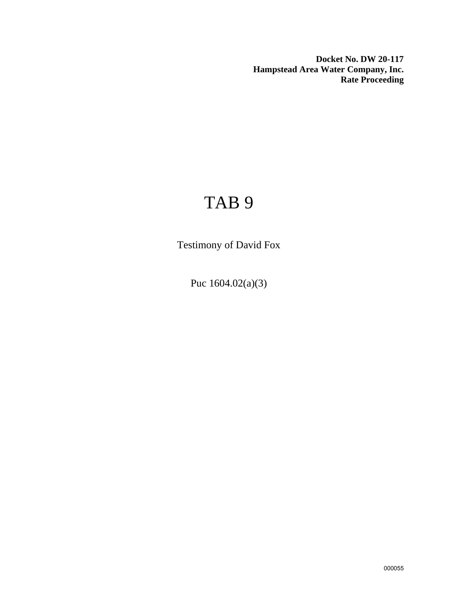**Docket No. DW 20-117 Hampstead Area Water Company, Inc. Rate Proceeding**

# TAB 9

Testimony of David Fox

Puc 1604.02(a)(3)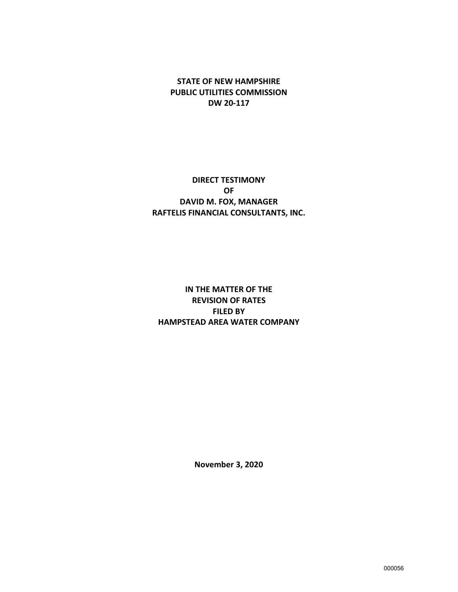**STATE OF NEW HAMPSHIRE PUBLIC UTILITIES COMMISSION DW 20-117**

## **DIRECT TESTIMONY OF DAVID M. FOX, MANAGER RAFTELIS FINANCIAL CONSULTANTS, INC.**

# **IN THE MATTER OF THE REVISION OF RATES FILED BY HAMPSTEAD AREA WATER COMPANY**

**November 3, 2020**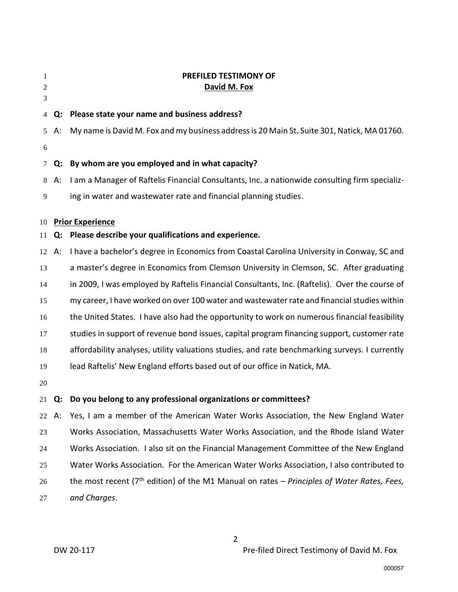| 1<br>2 |    | PREFILED TESTIMONY OF<br>David M. Fox                                                          |  |  |  |
|--------|----|------------------------------------------------------------------------------------------------|--|--|--|
| 3      |    |                                                                                                |  |  |  |
| 4      | Q: | Please state your name and business address?                                                   |  |  |  |
| 5      | А: | My name is David M. Fox and my business address is 20 Main St. Suite 301, Natick, MA 01760.    |  |  |  |
| 6      |    |                                                                                                |  |  |  |
| 7      | Q: | By whom are you employed and in what capacity?                                                 |  |  |  |
| 8      | A: | I am a Manager of Raftelis Financial Consultants, Inc. a nationwide consulting firm specializ- |  |  |  |
| 9      |    | ing in water and wastewater rate and financial planning studies.                               |  |  |  |
| 10     |    | <b>Prior Experience</b>                                                                        |  |  |  |
| 11     | Q: | Please describe your qualifications and experience.                                            |  |  |  |
| 12     | A: | I have a bachelor's degree in Economics from Coastal Carolina University in Conway, SC and     |  |  |  |
| 13     |    | a master's degree in Economics from Clemson University in Clemson, SC. After graduating        |  |  |  |
| 14     |    | in 2009, I was employed by Raftelis Financial Consultants, Inc. (Raftelis). Over the course of |  |  |  |
| 15     |    | my career, I have worked on over 100 water and wastewater rate and financial studies within    |  |  |  |
| 16     |    | the United States. I have also had the opportunity to work on numerous financial feasibility   |  |  |  |
| 17     |    | studies in support of revenue bond issues, capital program financing support, customer rate    |  |  |  |
| 18     |    | affordability analyses, utility valuations studies, and rate benchmarking surveys. I currently |  |  |  |
| 19     |    | lead Raftelis' New England efforts based out of our office in Natick, MA.                      |  |  |  |
| 20     |    |                                                                                                |  |  |  |
| 21     | Q: | Do you belong to any professional organizations or committees?                                 |  |  |  |
| 22     | А: | Yes, I am a member of the American Water Works Association, the New England Water              |  |  |  |
| 23     |    | Works Association, Massachusetts Water Works Association, and the Rhode Island Water           |  |  |  |
| 24     |    | Works Association. I also sit on the Financial Management Committee of the New England         |  |  |  |
| 25     |    | Water Works Association. For the American Water Works Association, I also contributed to       |  |  |  |
| 26     |    | the most recent ( $7th$ edition) of the M1 Manual on rates – Principles of Water Rates, Fees,  |  |  |  |
| 27     |    | and Charges.                                                                                   |  |  |  |
|        |    |                                                                                                |  |  |  |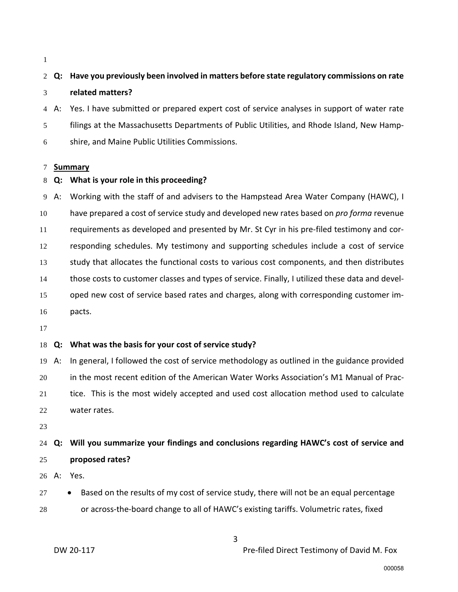# **Q: Have you previously been involved in matters before state regulatory commissions on rate related matters?**

A: Yes. I have submitted or prepared expert cost of service analyses in support of water rate filings at the Massachusetts Departments of Public Utilities, and Rhode Island, New Hamp-shire, and Maine Public Utilities Commissions.

#### **Summary**

#### **Q: What is your role in this proceeding?**

A: Working with the staff of and advisers to the Hampstead Area Water Company (HAWC), I have prepared a cost of service study and developed new rates based on *pro forma* revenue requirements as developed and presented by Mr. St Cyr in his pre-filed testimony and cor- responding schedules. My testimony and supporting schedules include a cost of service study that allocates the functional costs to various cost components, and then distributes those costs to customer classes and types of service. Finally, I utilized these data and devel- oped new cost of service based rates and charges, along with corresponding customer im-pacts.

### **Q: What was the basis for your cost of service study?**

 A: In general, I followed the cost of service methodology as outlined in the guidance provided in the most recent edition of the American Water Works Association's M1 Manual of Prac- tice. This is the most widely accepted and used cost allocation method used to calculate water rates.

# **Q: Will you summarize your findings and conclusions regarding HAWC's cost of service and proposed rates?**

A: Yes.

- 27 Based on the results of my cost of service study, there will not be an equal percentage
- or across-the-board change to all of HAWC's existing tariffs. Volumetric rates, fixed

DW 20-117 **DW 20-117** Pre-filed Direct Testimony of David M. Fox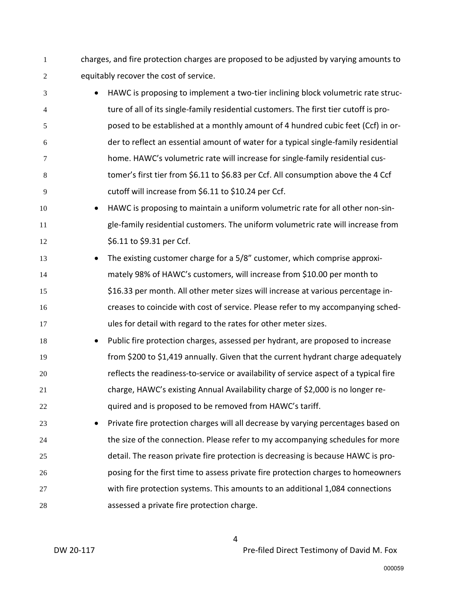charges, and fire protection charges are proposed to be adjusted by varying amounts to equitably recover the cost of service.

- HAWC is proposing to implement a two-tier inclining block volumetric rate struc-ture of all of its single-family residential customers. The first tier cutoff is pro-posed to be established at a monthly amount of 4 hundred cubic feet (Ccf) in or-der to reflect an essential amount of water for a typical single-family residential home. HAWC's volumetric rate will increase for single-family residential cus-tomer's first tier from \$6.11 to \$6.83 per Ccf. All consumption above the 4 Ccf cutoff will increase from \$6.11 to \$10.24 per Ccf.
- HAWC is proposing to maintain a uniform volumetric rate for all other non-sin- gle-family residential customers. The uniform volumetric rate will increase from 12 \$6.11 to \$9.31 per Ccf.
- The existing customer charge for a 5/8" customer, which comprise approxi- mately 98% of HAWC's customers, will increase from \$10.00 per month to \$16.33 per month. All other meter sizes will increase at various percentage in- creases to coincide with cost of service. Please refer to my accompanying sched-ules for detail with regard to the rates for other meter sizes.
- Public fire protection charges, assessed per hydrant, are proposed to increase from \$200 to \$1,419 annually. Given that the current hydrant charge adequately reflects the readiness-to-service or availability of service aspect of a typical fire charge, HAWC's existing Annual Availability charge of \$2,000 is no longer re-22 quired and is proposed to be removed from HAWC's tariff.
- Private fire protection charges will all decrease by varying percentages based on 24 the size of the connection. Please refer to my accompanying schedules for more detail. The reason private fire protection is decreasing is because HAWC is pro- posing for the first time to assess private fire protection charges to homeowners with fire protection systems. This amounts to an additional 1,084 connections assessed a private fire protection charge.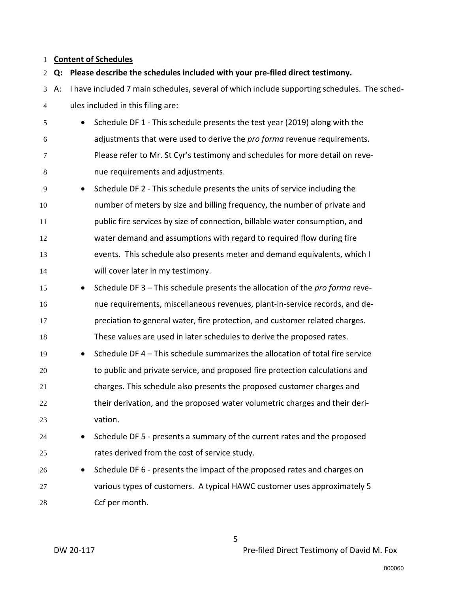# **Content of Schedules**

| $\overline{2}$ | Q: | Please describe the schedules included with your pre-filed direct testimony.                |                                                                               |  |  |
|----------------|----|---------------------------------------------------------------------------------------------|-------------------------------------------------------------------------------|--|--|
| 3              | A: | I have included 7 main schedules, several of which include supporting schedules. The sched- |                                                                               |  |  |
| 4              |    | ules included in this filing are:                                                           |                                                                               |  |  |
| 5              |    | $\bullet$                                                                                   | Schedule DF 1 - This schedule presents the test year (2019) along with the    |  |  |
| 6              |    |                                                                                             | adjustments that were used to derive the pro forma revenue requirements.      |  |  |
| 7              |    |                                                                                             | Please refer to Mr. St Cyr's testimony and schedules for more detail on reve- |  |  |
| 8              |    |                                                                                             | nue requirements and adjustments.                                             |  |  |
| 9              |    | $\bullet$                                                                                   | Schedule DF 2 - This schedule presents the units of service including the     |  |  |
| 10             |    |                                                                                             | number of meters by size and billing frequency, the number of private and     |  |  |
| 11             |    |                                                                                             | public fire services by size of connection, billable water consumption, and   |  |  |
| 12             |    |                                                                                             | water demand and assumptions with regard to required flow during fire         |  |  |
| 13             |    |                                                                                             | events. This schedule also presents meter and demand equivalents, which I     |  |  |
| 14             |    |                                                                                             | will cover later in my testimony.                                             |  |  |
| 15             |    | $\bullet$                                                                                   | Schedule DF 3 - This schedule presents the allocation of the pro forma reve-  |  |  |
| 16             |    |                                                                                             | nue requirements, miscellaneous revenues, plant-in-service records, and de-   |  |  |
| 17             |    |                                                                                             | preciation to general water, fire protection, and customer related charges.   |  |  |
| 18             |    |                                                                                             | These values are used in later schedules to derive the proposed rates.        |  |  |
| 19             |    | $\bullet$                                                                                   | Schedule DF 4 - This schedule summarizes the allocation of total fire service |  |  |
| 20             |    |                                                                                             | to public and private service, and proposed fire protection calculations and  |  |  |
| 21             |    |                                                                                             | charges. This schedule also presents the proposed customer charges and        |  |  |
| 22             |    |                                                                                             | their derivation, and the proposed water volumetric charges and their deri-   |  |  |
| 23             |    |                                                                                             | vation.                                                                       |  |  |
| 24             |    |                                                                                             | Schedule DF 5 - presents a summary of the current rates and the proposed      |  |  |
| 25             |    |                                                                                             | rates derived from the cost of service study.                                 |  |  |
| 26             |    | $\bullet$                                                                                   | Schedule DF 6 - presents the impact of the proposed rates and charges on      |  |  |
| 27             |    |                                                                                             | various types of customers. A typical HAWC customer uses approximately 5      |  |  |
| 28             |    |                                                                                             | Ccf per month.                                                                |  |  |
|                |    |                                                                                             |                                                                               |  |  |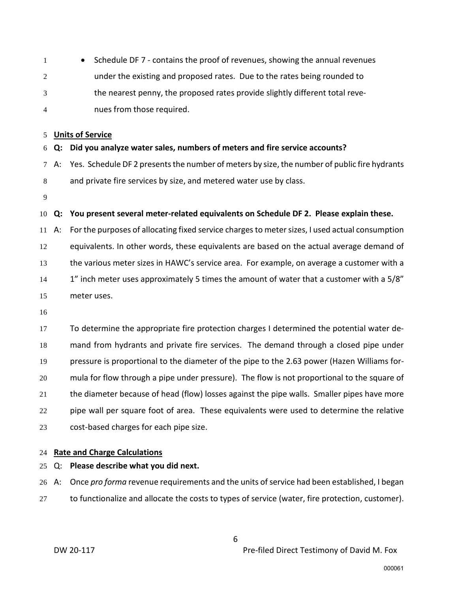| $\overline{1}$ | • Schedule DF 7 - contains the proof of revenues, showing the annual revenues |
|----------------|-------------------------------------------------------------------------------|
| 2              | under the existing and proposed rates. Due to the rates being rounded to      |
| 3              | the nearest penny, the proposed rates provide slightly different total reve-  |
| $\overline{4}$ | nues from those required.                                                     |

#### **Units of Service**

#### **Q: Did you analyze water sales, numbers of meters and fire service accounts?**

- A: Yes. Schedule DF 2 presents the number of meters by size, the number of public fire hydrants and private fire services by size, and metered water use by class.
- 

#### **Q: You present several meter-related equivalents on Schedule DF 2. Please explain these.**

 A: For the purposes of allocating fixed service chargesto meter sizes, I used actual consumption equivalents. In other words, these equivalents are based on the actual average demand of 13 the various meter sizes in HAWC's service area. For example, on average a customer with a 14 1<sup>"</sup> inch meter uses approximately 5 times the amount of water that a customer with a 5/8" meter uses.

 To determine the appropriate fire protection charges I determined the potential water de- mand from hydrants and private fire services. The demand through a closed pipe under pressure is proportional to the diameter of the pipe to the 2.63 power (Hazen Williams for- mula for flow through a pipe under pressure). The flow is not proportional to the square of 21 the diameter because of head (flow) losses against the pipe walls. Smaller pipes have more pipe wall per square foot of area. These equivalents were used to determine the relative cost-based charges for each pipe size.

#### **Rate and Charge Calculations**

#### Q: **Please describe what you did next.**

A: Once *pro forma* revenue requirements and the units of service had been established, I began

to functionalize and allocate the costs to types of service (water, fire protection, customer).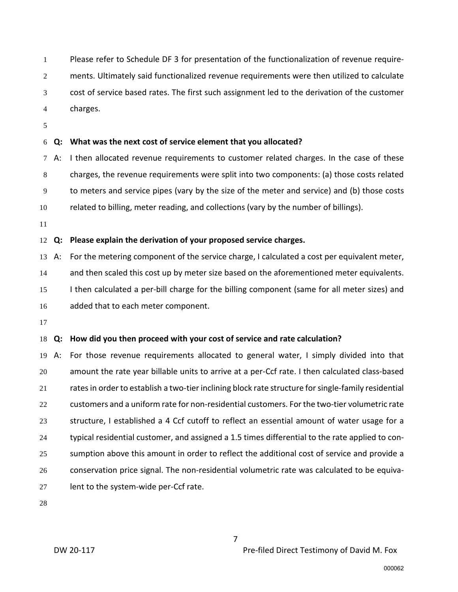Please refer to Schedule DF 3 for presentation of the functionalization of revenue require-ments. Ultimately said functionalized revenue requirements were then utilized to calculate cost of service based rates. The first such assignment led to the derivation of the customer charges.

## **Q: What was the next cost of service element that you allocated?**

A: I then allocated revenue requirements to customer related charges. In the case of these charges, the revenue requirements were split into two components: (a) those costs related to meters and service pipes (vary by the size of the meter and service) and (b) those costs related to billing, meter reading, and collections (vary by the number of billings).

#### **Q: Please explain the derivation of your proposed service charges.**

 A: For the metering component of the service charge, I calculated a cost per equivalent meter, 14 and then scaled this cost up by meter size based on the aforementioned meter equivalents. 15 I then calculated a per-bill charge for the billing component (same for all meter sizes) and added that to each meter component.

#### **Q: How did you then proceed with your cost of service and rate calculation?**

 A: For those revenue requirements allocated to general water, I simply divided into that amount the rate year billable units to arrive at a per-Ccf rate. I then calculated class-based rates in order to establish a two-tier inclining block rate structure for single-family residential customers and a uniform rate for non-residential customers. For the two-tier volumetric rate structure, I established a 4 Ccf cutoff to reflect an essential amount of water usage for a typical residential customer, and assigned a 1.5 times differential to the rate applied to con- sumption above this amount in order to reflect the additional cost of service and provide a conservation price signal. The non-residential volumetric rate was calculated to be equiva-lent to the system-wide per-Ccf rate.